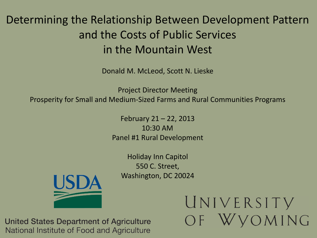# Determining the Relationship Between Development Pattern and the Costs of Public Services in the Mountain West

Donald M. McLeod, Scott N. Lieske

Project Director Meeting Prosperity for Small and Medium-Sized Farms and Rural Communities Programs

> February 21 – 22, 2013 10:30 AM Panel #1 Rural Development

Holiday Inn Capitol 550 C. Street, Washington, DC 20024



UNIVERSITY **VOMING**  $OF$ 

United States Department of Agriculture National Institute of Food and Agriculture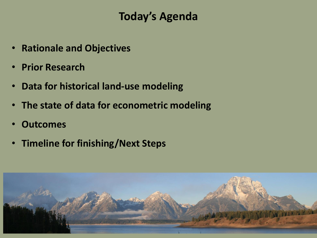## **Today's Agenda**

- **Rationale and Objectives**
- **Prior Research**
- **Data for historical land-use modeling**
- **The state of data for econometric modeling**
- **Outcomes**
- **Timeline for finishing/Next Steps**

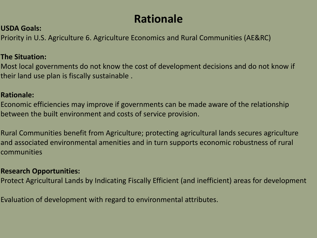# **Rationale**

### **USDA Goals:**

Priority in U.S. Agriculture 6. Agriculture Economics and Rural Communities (AE&RC)

### **The Situation:**

Most local governments do not know the cost of development decisions and do not know if their land use plan is fiscally sustainable .

### **Rationale:**

Economic efficiencies may improve if governments can be made aware of the relationship between the built environment and costs of service provision.

Rural Communities benefit from Agriculture; protecting agricultural lands secures agriculture and associated environmental amenities and in turn supports economic robustness of rural communities

### **Research Opportunities:**

Protect Agricultural Lands by Indicating Fiscally Efficient (and inefficient) areas for development

Evaluation of development with regard to environmental attributes.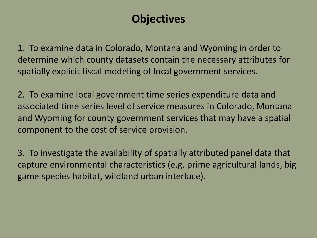# **Objectives**

1. To examine data in Colorado, Montana and Wyoming in order to determine which county datasets contain the necessary attributes for spatially explicit fiscal modeling of local government services.

2. To examine local government time series expenditure data and associated time series level of service measures in Colorado, Montana and Wyoming for county government services that may have a spatial component to the cost of service provision.

3. To investigate the availability of spatially attributed panel data that capture environmental characteristics (e.g. prime agricultural lands, big game species habitat, wildland urban interface).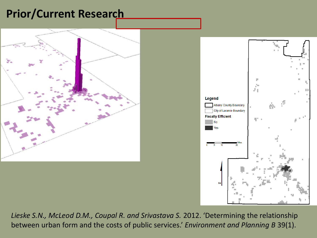## **Prior/Current Research**





Lieske S.N., McLeod D.M., Coupal R. and Srivastava S. 2012. 'Determining the relationship between urban form and the costs of public services.' *Environment and Planning B* 39(1).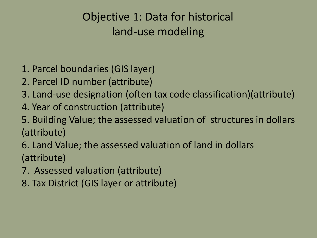# Objective 1: Data for historical land-use modeling

- 1. Parcel boundaries (GIS layer)
- 2. Parcel ID number (attribute)
- 3. Land-use designation (often tax code classification)(attribute)
- 4. Year of construction (attribute)
- 5. Building Value; the assessed valuation of structures in dollars (attribute)
- 6. Land Value; the assessed valuation of land in dollars (attribute)
- 7. Assessed valuation (attribute)
- 8. Tax District (GIS layer or attribute)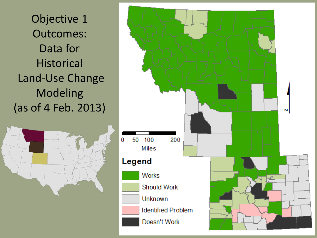Objective 1 Outcomes: Data for **Historical** Land-Use Change Modeling (as of 4 Feb. 2013)



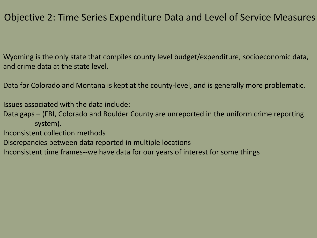### Objective 2: Time Series Expenditure Data and Level of Service Measures

Wyoming is the only state that compiles county level budget/expenditure, socioeconomic data, and crime data at the state level.

Data for Colorado and Montana is kept at the county-level, and is generally more problematic.

Issues associated with the data include:

- Data gaps (FBI, Colorado and Boulder County are unreported in the uniform crime reporting system).
- Inconsistent collection methods
- Discrepancies between data reported in multiple locations
- Inconsistent time frames--we have data for our years of interest for some things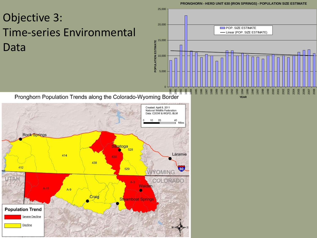#### **PRONGHORN - HERD UNIT 630 (IRON SPRINGS) - POPULATION SIZE ESTIMATE**

# Objective 3: Time-series Environmental Data



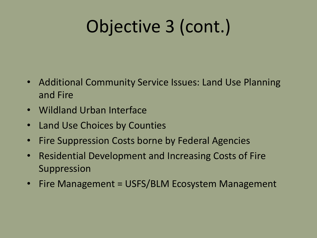# Objective 3 (cont.)

- Additional Community Service Issues: Land Use Planning and Fire
- Wildland Urban Interface
- Land Use Choices by Counties
- Fire Suppression Costs borne by Federal Agencies
- Residential Development and Increasing Costs of Fire Suppression
- Fire Management = USFS/BLM Ecosystem Management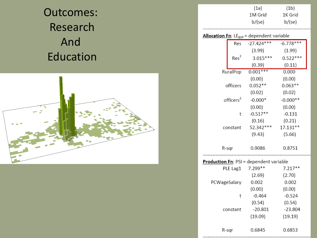# Outcomes: Research And Education



| (1a)    | (1 <sub>b</sub> ) |
|---------|-------------------|
| 1M Grid | 1K Grid           |
| b/(se)  | b/(se)            |

#### **Allocation Fn:** LE<sub>EXP</sub> = dependent variable

|                       | Res              | $-27.424***$ | $-6.778***$ |
|-----------------------|------------------|--------------|-------------|
|                       |                  | (3.99)       | (1.99)      |
|                       | Res <sup>2</sup> | $3.015***$   | $0.522***$  |
|                       |                  | (0.39)       | (0.11)      |
| RuralPop              |                  | $0.001***$   | 0.000       |
|                       |                  | (0.00)       | (0.00)      |
|                       | officers         | $0.052**$    | $0.063**$   |
|                       |                  | (0.02)       | (0.02)      |
| officers <sup>2</sup> |                  | $-0.000*$    | $-0.000**$  |
|                       |                  | (0.00)       | (0.00)      |
|                       | t                | $-0.517**$   | $-0.131$    |
|                       |                  | (0.16)       | (0.21)      |
| constant              |                  | 52.342***    | 17.131**    |
|                       |                  | (9.43)       | (5.66)      |
|                       | R-sqr            | 0.9086       | 0.8751      |

### Production Fn: PSI = dependent variable

| PLE Lag1     | 7.299**   | $7.217**$ |
|--------------|-----------|-----------|
|              | (2.69)    | (2.70)    |
| PCWageSalary | 0.002     | 0.002     |
|              | (0.00)    | (0.00)    |
| t            | $-0.464$  | $-0.524$  |
|              | (0.54)    | (0.54)    |
| constant     | $-20.801$ | -23.804   |
|              | (19.09)   | (19.19)   |
|              |           |           |
| R-sar        | 0.6845    | 0.6853    |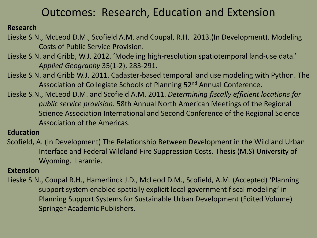## Outcomes: Research, Education and Extension

### **Research**

- Lieske S.N., McLeod D.M., Scofield A.M. and Coupal, R.H. 2013.(In Development). Modeling Costs of Public Service Provision.
- Lieske S.N. and Gribb, W.J. 2012. 'Modeling high-resolution spatiotemporal land-use data.' *Applied Geography* 35(1-2), 283-291.
- Lieske S.N. and Gribb W.J. 2011. Cadaster-based temporal land use modeling with Python. The Association of Collegiate Schools of Planning 52nd Annual Conference.
- Lieske S.N., McLeod D.M. and Scofield A.M. 2011. *Determining fiscally efficient locations for public service provision*. 58th Annual North American Meetings of the Regional Science Association International and Second Conference of the Regional Science Association of the Americas.

### **Education**

Scofield, A. (In Development) The Relationship Between Development in the Wildland Urban Interface and Federal Wildland Fire Suppression Costs. Thesis (M.S) University of Wyoming. Laramie.

### **Extension**

Lieske S.N., Coupal R.H., Hamerlinck J.D., McLeod D.M., Scofield, A.M. (Accepted) 'Planning support system enabled spatially explicit local government fiscal modeling' in Planning Support Systems for Sustainable Urban Development (Edited Volume) Springer Academic Publishers.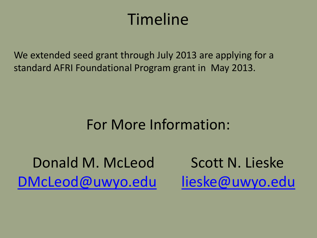# Timeline

We extended seed grant through July 2013 are applying for a standard AFRI Foundational Program grant in May 2013.

# For More Information:

Donald M. McLeod Scott N. Lieske [DMcLeod@uwyo.edu](mailto:DMcLeod@uwyo.edu) [lieske@uwyo.edu](mailto:lieske@uwyo.edu)